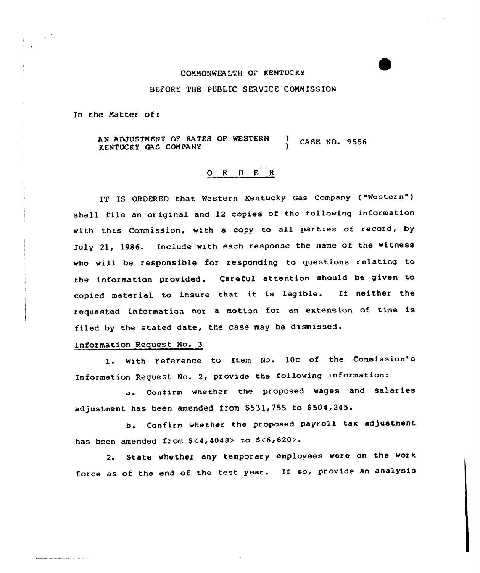## COMMONWEALTH OF KENTUCKY

## BEFORE THE PUBLIC SERUICE COMMISSION

In the Natter of:

AN ADJUSTMENT OF RATES OF NESTERN KENTUCKY GAS COMPANY  $\sqrt{}$  CASE NO. 9556

## 0 <sup>R</sup> <sup>D</sup> E R

IT IS ORDERED that western Kentucky Gas Company {"Western") shall file an or iginal and 12 copies of the following information with this Commission, with <sup>a</sup> copy to all parties of record, by July 21, 1986. Include with each response the name of the witness who will be responsible for responding to questions relating to the information provided. Careful attention should be given to copied material to insure that it is legible. If neither the requested information nor <sup>a</sup> motion for an extension of time is filed by the stated date, the case may be dismissed.

## Information Request No. 3

1. With reference to Item No. 10c of the Commission's Information Request No. 2, provide the following information:

a. Confirm whether the proposed wages and salaries adjustment has been amended from \$531,755 to \$504,245.

b. Confirm whether the proposed payroll tax adjustment has been amended from \$<4,4048> to \$<6,620>.

2. State whether any temporary employees were on the work force as of the end of the test year. If so, provide an analysis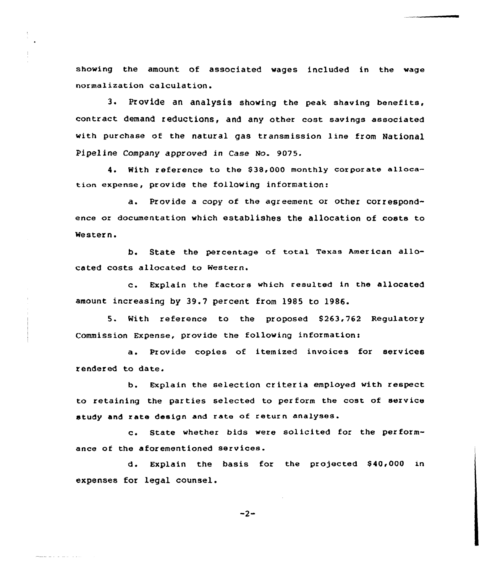showing the amount of associated wages included in the wage normalization calculation.

3. Provide an analysis showing the peak shaving benefits, contract demand reductions, and any other cost savings associated with purchase of the natural gas transmission line from National Pipeline Company approved in Case No. 9075.

4. With reference to the \$38,000 monthly corporate allocatian expense, provide the following information:

a. Provide <sup>a</sup> copy of the agreement or other correspondence or documentation which establishes the allocation of costs to Western.

b. State the percentage of total Texas American allocated costs allocated to Western.

c. Explain the factors which resulted in the allocated amount increasing by 39.7 percent from 1985 to 1986.

5. With reference to the proposed \$263,762 Regulatory Commission Expense, provide the following information<

a. Provide copies of itemized invoices for services rendered to date.

b. Explain the selection criteria employed with respect to retaining the parties selected to perform the cost of service study and rate design and rate of return analyses.

c. State whether bids were solicited for the performance of the aforementioned services.

d. Explain the basis for the projected \$40,000 in expenses for legal counsel.

 $-2-$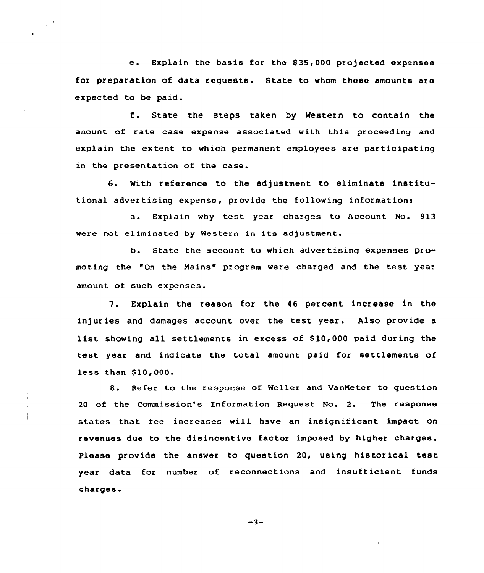e. Explain the basis for the \$35,000 projected expenses for preparation of data requests. State to whom these amounts are expected to be paid.

f. State the steps taken by Western to contain the amount of rate case expense associated with this proceeding and explain the extent to which permanent employees are participating in the presentation of the case.

6. With reference to the adjustment to eliminate institutional advertising expense, provide the following informations

a. Explain why test year charges to Account No. 913 were not eliminated by Western in its adjustment.

b. State the account to which advertising expenses promoting the "On the Mains" program were charged and the test year amount of such expenses.

7. Explain the reason for the 46 percent increase in the injur ies and damages account over the test year. Also provide a list showing all settlements in excess of \$10,000 paid during the test year and indicate the total amount paid for settlements of less than \$10,000.

8. Refer to the response of Weller and UanMeter to question 20 of the Commission's Information Request No. 2. The response states that fee increases will have an insignificant impact on revenues due to the disincentive factor imposed by higher charges. Please provide the answer to question 20, using historical test year data for number of reconnections and insufficient funds charges.

 $-3-$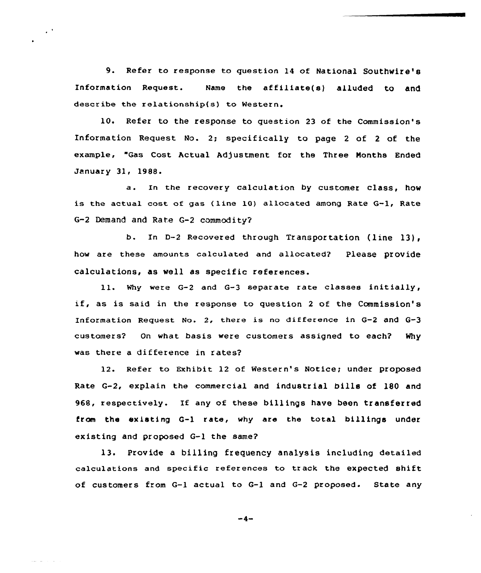9. Refer to response to question 14 of National Southwire's Information Request. Name the affiliate(s) alluded to and descr ibe the relationship(s) to Western.

10. Refer to the response to question 23 of the Commission's Information Request No. 2; specifically to page <sup>2</sup> of <sup>2</sup> of the example, "Gas Cost Actual Adjustment for the Three Months Ended January 31, 1988.

a. In the recovery calculation by customer class, how is the actual cost of gas {line 10) allocated among Rate G-l, Rate 6-2 Demand and Rate G-2 commodity?

b. In D-2 Recovered through Transportation (line 13), how are these amounts calculated and allocated? Please provide calculations, as well as specific references.

ll. Why were G-2 and G-3 separate rate classes initially, if, as is said in the response to question <sup>2</sup> of the Commission's Information Request No. 2, there is no difference in G-2 and G-3 customers? On what basis were customers assigned to each? Why was there a difference in rates?

12. Refer to Exhibit 12 of Western's Notice; under proposed Rate G-2, explain the commercial and industrial bills of 18D and 968, respectively. If any of these billings have been transferred from the existing G-1 rate, why are the total billings under existing and proposed G-1 the same?

13. Provide a billing frequency analysis including detailed calculations and specific references to track the expected shift of customers from G-1 actual to G-1 and G-2 proposed. State any

 $-4-$